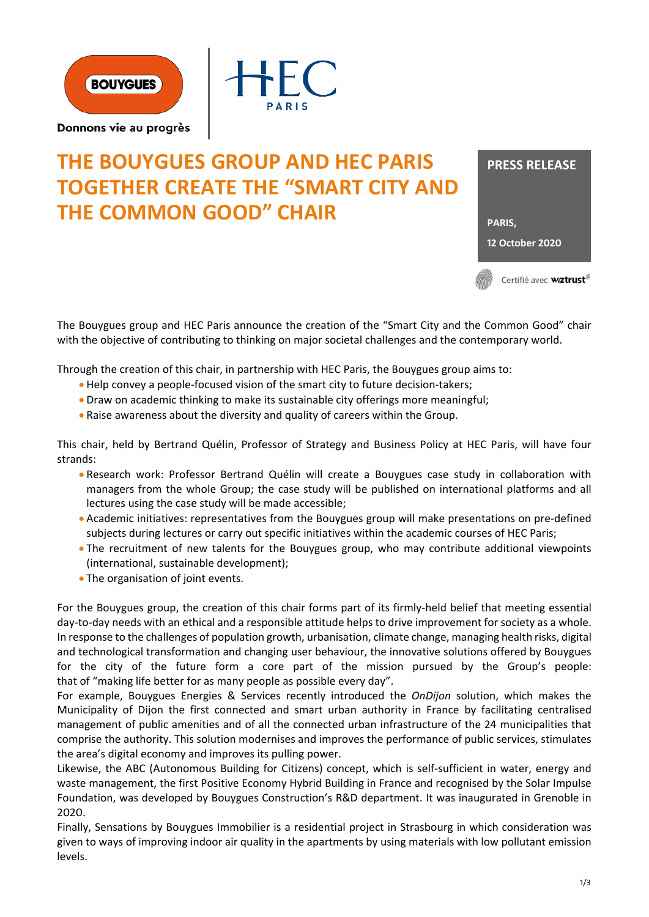



Donnons vie au progrès

# **THE BOUYGUES GROUP AND HEC PARIS TOGETHER CREATE THE "SMART CITY AND THE COMMON GOOD" CHAIR**



The Bouygues group and HEC Paris announce the creation of the "Smart City and the Common Good" chair with the objective of contributing to thinking on major societal challenges and the contemporary world.

Through the creation of this chair, in partnership with HEC Paris, the Bouygues group aims to:

- Help convey a people-focused vision of the smart city to future decision-takers;
- Draw on academic thinking to make its sustainable city offerings more meaningful;
- Raise awareness about the diversity and quality of careers within the Group.

This chair, held by Bertrand Quélin, Professor of Strategy and Business Policy at HEC Paris, will have four strands:

- Research work: Professor Bertrand Quélin will create a Bouygues case study in collaboration with managers from the whole Group; the case study will be published on international platforms and all lectures using the case study will be made accessible;
- Academic initiatives: representatives from the Bouygues group will make presentations on pre-defined subjects during lectures or carry out specific initiatives within the academic courses of HEC Paris;
- The recruitment of new talents for the Bouygues group, who may contribute additional viewpoints (international, sustainable development);
- The organisation of joint events.

For the Bouygues group, the creation of this chair forms part of its firmly-held belief that meeting essential day-to-day needs with an ethical and a responsible attitude helps to drive improvement for society as a whole. In response to the challenges of population growth, urbanisation, climate change, managing health risks, digital and technological transformation and changing user behaviour, the innovative solutions offered by Bouygues for the city of the future form a core part of the mission pursued by the Group's people: that of "making life better for as many people as possible every day".

For example, Bouygues Energies & Services recently introduced the *OnDijon* solution, which makes the Municipality of Dijon the first connected and smart urban authority in France by facilitating centralised management of public amenities and of all the connected urban infrastructure of the 24 municipalities that comprise the authority. This solution modernises and improves the performance of public services, stimulates the area's digital economy and improves its pulling power.

Likewise, the ABC (Autonomous Building for Citizens) concept, which is self-sufficient in water, energy and waste management, the first Positive Economy Hybrid Building in France and recognised by the Solar Impulse Foundation, was developed by Bouygues Construction's R&D department. It was inaugurated in Grenoble in 2020.

Finally, Sensations by Bouygues Immobilier is a residential project in Strasbourg in which consideration was given to ways of improving indoor air quality in the apartments by using materials with low pollutant emission levels.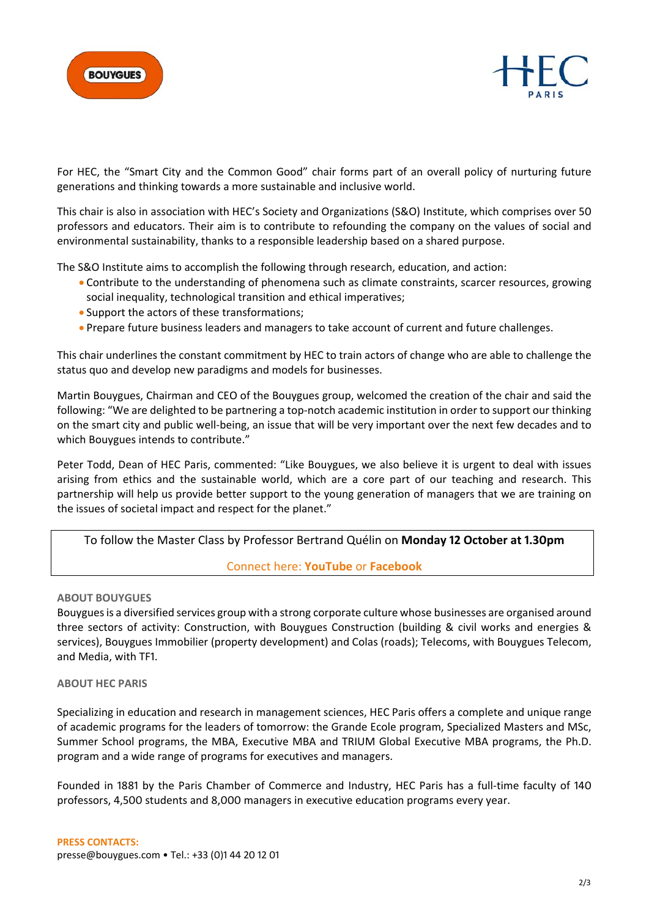



For HEC, the "Smart City and the Common Good" chair forms part of an overall policy of nurturing future generations and thinking towards a more sustainable and inclusive world.

This chair is also in association with HEC's Society and Organizations (S&O) Institute, which comprises over 50 professors and educators. Their aim is to contribute to refounding the company on the values of social and environmental sustainability, thanks to a responsible leadership based on a shared purpose.

The S&O Institute aims to accomplish the following through research, education, and action:

- Contribute to the understanding of phenomena such as climate constraints, scarcer resources, growing social inequality, technological transition and ethical imperatives;
- Support the actors of these transformations;
- Prepare future business leaders and managers to take account of current and future challenges.

This chair underlines the constant commitment by HEC to train actors of change who are able to challenge the status quo and develop new paradigms and models for businesses.

Martin Bouygues, Chairman and CEO of the Bouygues group, welcomed the creation of the chair and said the following: "We are delighted to be partnering a top-notch academic institution in order to support our thinking on the smart city and public well-being, an issue that will be very important over the next few decades and to which Bouygues intends to contribute."

Peter Todd, Dean of HEC Paris, commented: "Like Bouygues, we also believe it is urgent to deal with issues arising from ethics and the sustainable world, which are a core part of our teaching and research. This partnership will help us provide better support to the young generation of managers that we are training on the issues of societal impact and respect for the planet."

# To follow the Master Class by Professor Bertrand Quélin on **Monday 12 October at 1.30pm**

# Connect here: **YouTube** or **Facebook**

# **ABOUT BOUYGUES**

Bouygues is a diversified services group with a strong corporate culture whose businesses are organised around three sectors of activity: Construction, with Bouygues Construction (building & civil works and energies & services), Bouygues Immobilier (property development) and Colas (roads); Telecoms, with Bouygues Telecom, and Media, with TF1.

# **ABOUT HEC PARIS**

Specializing in education and research in management sciences, HEC Paris offers a complete and unique range of academic programs for the leaders of tomorrow: the Grande Ecole program, Specialized Masters and MSc, Summer School programs, the MBA, Executive MBA and TRIUM Global Executive MBA programs, the Ph.D. program and a wide range of programs for executives and managers.

Founded in 1881 by the Paris Chamber of Commerce and Industry, HEC Paris has a full-time faculty of 140 professors, 4,500 students and 8,000 managers in executive education programs every year.